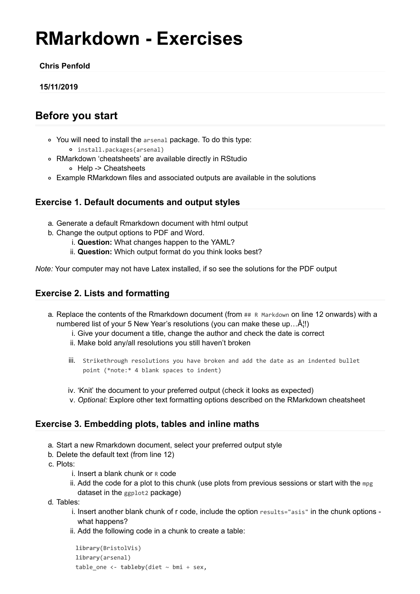# **RMarkdown - Exercises**

#### **Chris Penfold**

#### **15/11/2019**

## **Before you start**

- You will need to install the arsenal package. To do this type: install.packages(arsenal)
- RMarkdown 'cheatsheets' are available directly in RStudio Help -> Cheatsheets
- Example RMarkdown files and associated outputs are available in the solutions

### **Exercise 1. Default documents and output styles**

- a. Generate a default Rmarkdown document with html output
- b. Change the output options to PDF and Word.
	- i. **Question:** What changes happen to the YAML?
	- ii. **Question:** Which output format do you think looks best?

*Note:* Your computer may not have Latex installed, if so see the solutions for the PDF output

## **Exercise 2. Lists and formatting**

- a. Replace the contents of the Rmarkdown document (from ## R Markdown on line 12 onwards) with a numbered list of your 5 New Year's resolutions (you can make these up... $\hat{A}$ !)
	- i. Give your document a title, change the author and check the date is correct
	- ii. Make bold any/all resolutions you still haven't broken
	- iii. Strikethrough resolutions you have broken and add the date as an indented bullet point (\*note:\* 4 blank spaces to indent)
	- iv. 'Knit' the document to your preferred output (check it looks as expected)
	- v. *Optional:* Explore other text formatting options described on the RMarkdown cheatsheet

#### **Exercise 3. Embedding plots, tables and inline maths**

- a. Start a new Rmarkdown document, select your preferred output style
- b. Delete the default text (from line 12)
- c. Plots:
	- i. Insert a blank chunk or R code
	- ii. Add the code for a plot to this chunk (use plots from previous sessions or start with the mpg dataset in the ggplot<sub>2</sub> package)
- d. Tables:
	- i. Insert another blank chunk of r code, include the option results="asis" in the chunk options what happens?
	- ii. Add the following code in a chunk to create a table:

```
library(BristolVis)
library(arsenal)
table\_one < -tableby(diet \sim bm + sex,
```